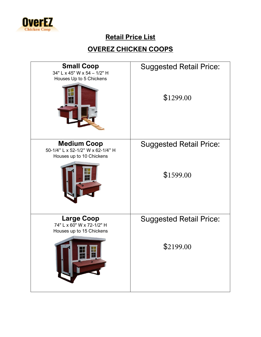

# **Retail Price List**

#### **OVEREZ CHICKEN COOPS**

| <b>Small Coop</b><br>34" L x 45" W x 54 - 1/2" H<br>Houses Up to 5 Chickens         | <b>Suggested Retail Price:</b><br>\$1299.00 |
|-------------------------------------------------------------------------------------|---------------------------------------------|
| <b>Medium Coop</b><br>50-1/4" L x 52-1/2" W x 62-1/4" H<br>Houses up to 10 Chickens | <b>Suggested Retail Price:</b><br>\$1599.00 |
| <b>Large Coop</b><br>74" L x 60" W x 72-1/2" H<br>Houses up to 15 Chickens<br>世典    | <b>Suggested Retail Price:</b><br>\$2199.00 |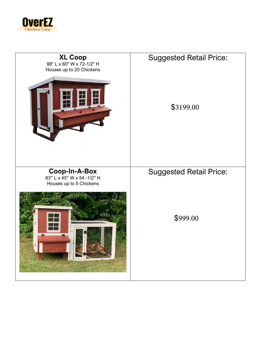

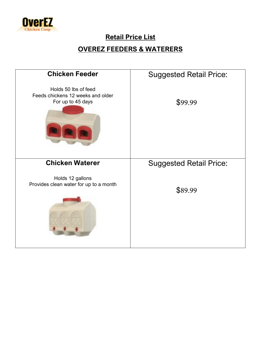

## **Retail Price List**

### **OVEREZ FEEDERS & WATERERS**

| <b>Chicken Feeder</b>                                                          | <b>Suggested Retail Price:</b> |
|--------------------------------------------------------------------------------|--------------------------------|
| Holds 50 lbs of feed<br>Feeds chickens 12 weeks and older<br>For up to 45 days | \$99.99                        |
| <b>Chicken Waterer</b>                                                         | <b>Suggested Retail Price:</b> |
| Holds 12 gallons<br>Provides clean water for up to a month                     | \$89.99                        |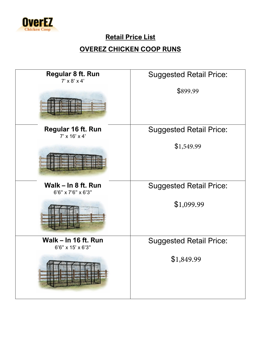

## **Retail Price List**

### **OVEREZ CHICKEN COOP RUNS**

| Regular 8 ft. Run<br>$7' \times 8' \times 4'$                                                                                                       | <b>Suggested Retail Price:</b> |
|-----------------------------------------------------------------------------------------------------------------------------------------------------|--------------------------------|
|                                                                                                                                                     | \$899.99                       |
| <b>Regular 16 ft. Run</b><br>$7' \times 16' \times 4'$                                                                                              | <b>Suggested Retail Price:</b> |
|                                                                                                                                                     | \$1,549.99                     |
| Walk - In 8 ft. Run<br>6'6" x 7'6" x 6'3"                                                                                                           | <b>Suggested Retail Price:</b> |
|                                                                                                                                                     | \$1,099.99                     |
| <b>Walk - In 16 ft. Run</b><br>6'6" x 15' x 6'3"                                                                                                    | <b>Suggested Retail Price:</b> |
| ROZOB ROZOB BOZOBZ<br><u>mer Klasser sted å </u><br>翻<br><b>I guit</b><br><u>e a d'Arti</u><br><b>S 38</b><br>建工业<br>画圖<br><b>ENERGIE</b><br>ATHERI | \$1,849.99                     |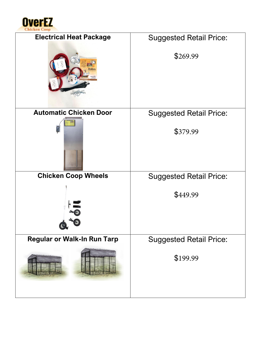

| <b>Electrical Heat Package</b>     | <b>Suggested Retail Price:</b> |
|------------------------------------|--------------------------------|
|                                    | \$269.99                       |
| <b>Automatic Chicken Door</b>      | <b>Suggested Retail Price:</b> |
| <b>MAR</b>                         | \$379.99                       |
|                                    |                                |
| <b>Chicken Coop Wheels</b>         | <b>Suggested Retail Price:</b> |
|                                    | \$449.99                       |
| <b>Regular or Walk-In Run Tarp</b> | <b>Suggested Retail Price:</b> |
|                                    | \$199.99                       |